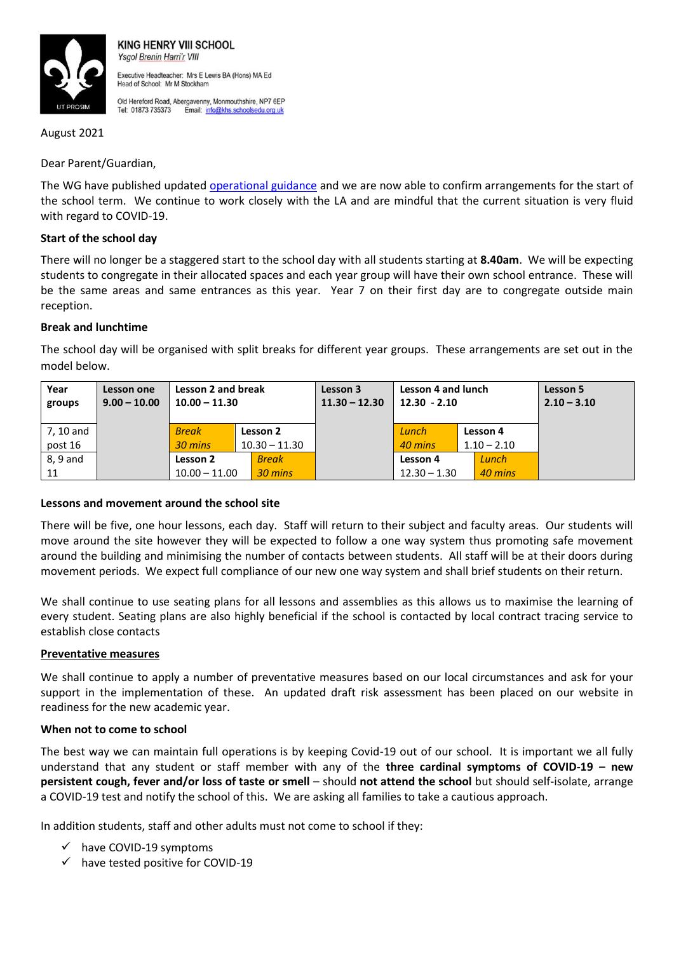

**KING HENRY VIII SCHOOL** Ysgol Brenin Harri'r VIII Executive Headteacher: Mrs E Lewis BA (Hons) MA Ed Head of School: Mr M Stockham

Old Hereford Road, Abergavenny, Monmouthshire, NP7 6EP Tel: 01873 735373 Email: info@khs.schoolsedu.org.uk

August 2021

Dear Parent/Guardian,

The WG have published updated [operational guidance](https://gov.wales/sites/default/files/pdf-versions/2021/8/2/1629812307/operational-guidance-schools-and-settings.pdf) and we are now able to confirm arrangements for the start of the school term. We continue to work closely with the LA and are mindful that the current situation is very fluid with regard to COVID-19.

## **Start of the school day**

There will no longer be a staggered start to the school day with all students starting at **8.40am**. We will be expecting students to congregate in their allocated spaces and each year group will have their own school entrance. These will be the same areas and same entrances as this year. Year 7 on their first day are to congregate outside main reception.

# **Break and lunchtime**

The school day will be organised with split breaks for different year groups. These arrangements are set out in the model below.

| Year<br>groups | Lesson one<br>$9.00 - 10.00$ | Lesson 2 and break<br>$10.00 - 11.30$ |                 | Lesson 3<br>$11.30 - 12.30$ | Lesson 4 and lunch<br>$12.30 - 2.10$ |               | Lesson 5<br>$2.10 - 3.10$ |
|----------------|------------------------------|---------------------------------------|-----------------|-----------------------------|--------------------------------------|---------------|---------------------------|
|                |                              |                                       |                 |                             |                                      |               |                           |
| 7, 10 and      |                              | <b>Break</b>                          | Lesson 2        |                             | Lunch                                | Lesson 4      |                           |
| post 16        |                              | 30 mins                               | $10.30 - 11.30$ |                             | 40 mins                              | $1.10 - 2.10$ |                           |
| 8.9 and        |                              | Lesson 2                              | <b>Break</b>    |                             | Lesson 4                             | Lunch         |                           |
| 11             |                              | $10.00 - 11.00$                       | 30 mins         |                             | $12.30 - 1.30$                       | 40 mins       |                           |

#### **Lessons and movement around the school site**

There will be five, one hour lessons, each day. Staff will return to their subject and faculty areas. Our students will move around the site however they will be expected to follow a one way system thus promoting safe movement around the building and minimising the number of contacts between students. All staff will be at their doors during movement periods. We expect full compliance of our new one way system and shall brief students on their return.

We shall continue to use seating plans for all lessons and assemblies as this allows us to maximise the learning of every student. Seating plans are also highly beneficial if the school is contacted by local contract tracing service to establish close contacts

#### **Preventative measures**

We shall continue to apply a number of preventative measures based on our local circumstances and ask for your support in the implementation of these. An updated draft risk assessment has been placed on our website in readiness for the new academic year.

#### **When not to come to school**

The best way we can maintain full operations is by keeping Covid-19 out of our school. It is important we all fully understand that any student or staff member with any of the **three cardinal symptoms of COVID-19 – new persistent cough, fever and/or loss of taste or smell** – should **not attend the school** but should self-isolate, arrange a COVID-19 test and notify the school of this. We are asking all families to take a cautious approach.

In addition students, staff and other adults must not come to school if they:

- $\checkmark$  have COVID-19 symptoms
- $\checkmark$  have tested positive for COVID-19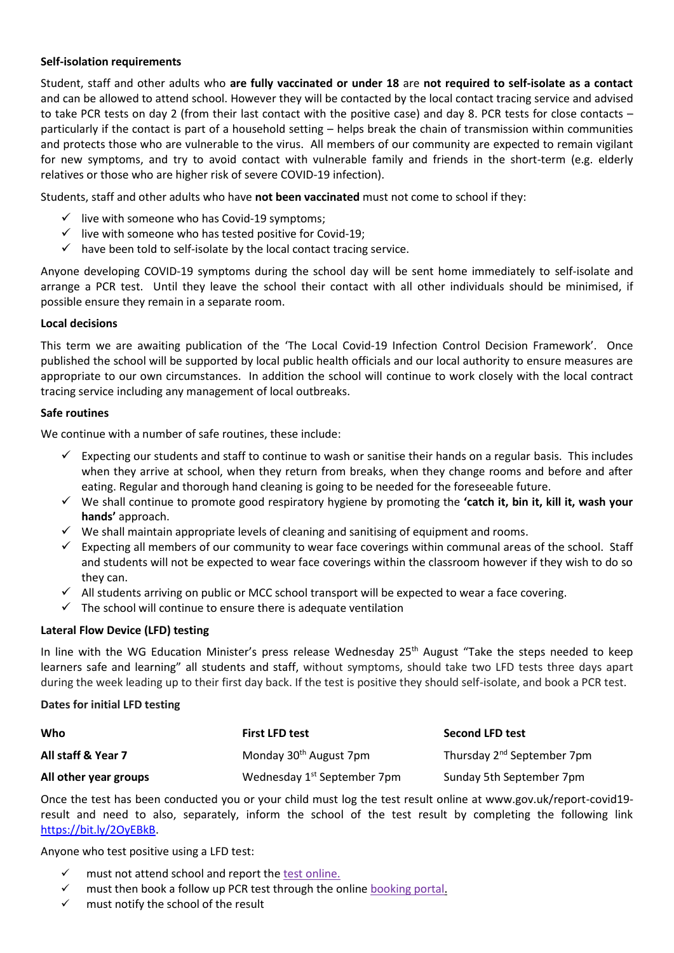## **Self-isolation requirements**

Student, staff and other adults who **are fully vaccinated or under 18** are **not required to self-isolate as a contact** and can be allowed to attend school. However they will be contacted by the local contact tracing service and advised to take PCR tests on day 2 (from their last contact with the positive case) and day 8. PCR tests for close contacts – particularly if the contact is part of a household setting – helps break the chain of transmission within communities and protects those who are vulnerable to the virus. All members of our community are expected to remain vigilant for new symptoms, and try to avoid contact with vulnerable family and friends in the short-term (e.g. elderly relatives or those who are higher risk of severe COVID-19 infection).

Students, staff and other adults who have **not been vaccinated** must not come to school if they:

- $\checkmark$  live with someone who has Covid-19 symptoms;
- $\checkmark$  live with someone who has tested positive for Covid-19:
- $\checkmark$  have been told to self-isolate by the local contact tracing service.

Anyone developing COVID-19 symptoms during the school day will be sent home immediately to self-isolate and arrange a PCR test. Until they leave the school their contact with all other individuals should be minimised, if possible ensure they remain in a separate room.

#### **Local decisions**

This term we are awaiting publication of the 'The Local Covid-19 Infection Control Decision Framework'. Once published the school will be supported by local public health officials and our local authority to ensure measures are appropriate to our own circumstances. In addition the school will continue to work closely with the local contract tracing service including any management of local outbreaks.

#### **Safe routines**

We continue with a number of safe routines, these include:

- $\checkmark$  Expecting our students and staff to continue to wash or sanitise their hands on a regular basis. This includes when they arrive at school, when they return from breaks, when they change rooms and before and after eating. Regular and thorough hand cleaning is going to be needed for the foreseeable future.
- We shall continue to promote good respiratory hygiene by promoting the **'catch it, bin it, kill it, wash your hands'** approach.
- $\checkmark$  We shall maintain appropriate levels of cleaning and sanitising of equipment and rooms.
- $\checkmark$  Expecting all members of our community to wear face coverings within communal areas of the school. Staff and students will not be expected to wear face coverings within the classroom however if they wish to do so they can.
- $\checkmark$  All students arriving on public or MCC school transport will be expected to wear a face covering.
- $\checkmark$  The school will continue to ensure there is adequate ventilation

#### **Lateral Flow Device (LFD) testing**

In line with the WG Education Minister's press release Wednesday 25<sup>th</sup> August "Take the steps needed to keep learners safe and learning" all students and staff, without symptoms, should take two LFD tests three days apart during the week leading up to their first day back. If the test is positive they should self-isolate, and book a PCR test.

#### **Dates for initial LFD testing**

| Who                   | <b>First LFD test</b>                   | <b>Second LFD test</b>                 |
|-----------------------|-----------------------------------------|----------------------------------------|
| All staff & Year 7    | Monday 30 <sup>th</sup> August 7pm      | Thursday 2 <sup>nd</sup> September 7pm |
| All other year groups | Wednesday 1 <sup>st</sup> September 7pm | Sunday 5th September 7pm               |

Once the test has been conducted you or your child must log the test result online at www.gov.uk/report-covid19 result and need to also, separately, inform the school of the test result by completing the following link [https://bit.ly/2OyEBkB.](https://bit.ly/2OyEBkB)

Anyone who test positive using a LFD test:

- must not attend school and report the [test online.](https://www.gov.uk/report-covid19-result)
- $\checkmark$  must then book a follow up PCR test through the online [booking portal.](https://www.gov.uk/get-coronavirus-test)
- $\checkmark$  must notify the school of the result